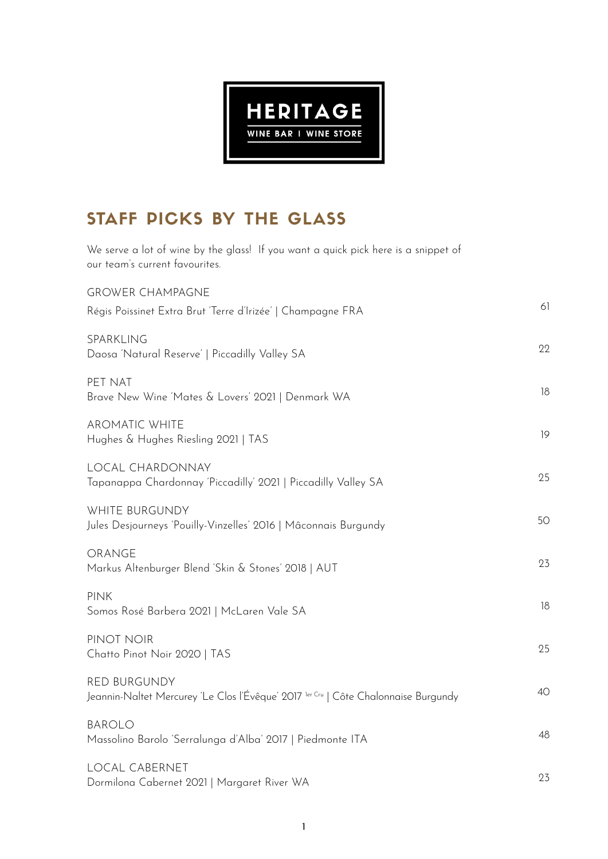

# STAFF PICKS BY THE GLASS

We serve a lot of wine by the glass! If you want a quick pick here is a snippet of our team's current favourites.

| <b>GROWER CHAMPAGNE</b>                                                                                    |    |
|------------------------------------------------------------------------------------------------------------|----|
| Régis Poissinet Extra Brut 'Terre d'Irizée'   Champagne FRA                                                | 61 |
| SPARKLING<br>Daosa 'Natural Reserve'   Piccadilly Valley SA                                                | 22 |
| PET NAT<br>Brave New Wine 'Mates & Lovers' 2021   Denmark WA                                               | 18 |
| <b>AROMATIC WHITE</b><br>Hughes & Hughes Riesling 2021   TAS                                               | 19 |
| LOCAL CHARDONNAY<br>Tapanappa Chardonnay 'Piccadilly' 2021   Piccadilly Valley SA                          | 25 |
| WHITE BURGUNDY<br>Jules Desjourneys 'Pouilly-Vinzelles' 2016   Mâconnais Burgundy                          | 50 |
| ORANGE<br>Markus Altenburger Blend 'Skin & Stones' 2018   AUT                                              | 23 |
| <b>PINK</b><br>Somos Rosé Barbera 2021   McLaren Vale SA                                                   | 18 |
| PINOT NOIR<br>Chatto Pinot Noir 2020   TAS                                                                 | 25 |
| <b>RED BURGUNDY</b><br>Jeannin-Naltet Mercurey 'Le Clos l'Évêque' 2017 ler Cru   Côte Chalonnaise Burgundy | 40 |
| <b>BAROLO</b><br>Massolino Barolo 'Serralunga d'Alba' 2017   Piedmonte ITA                                 | 48 |
| <b>LOCAL CABERNET</b><br>Dormilona Cabernet 2021   Margaret River WA                                       | 23 |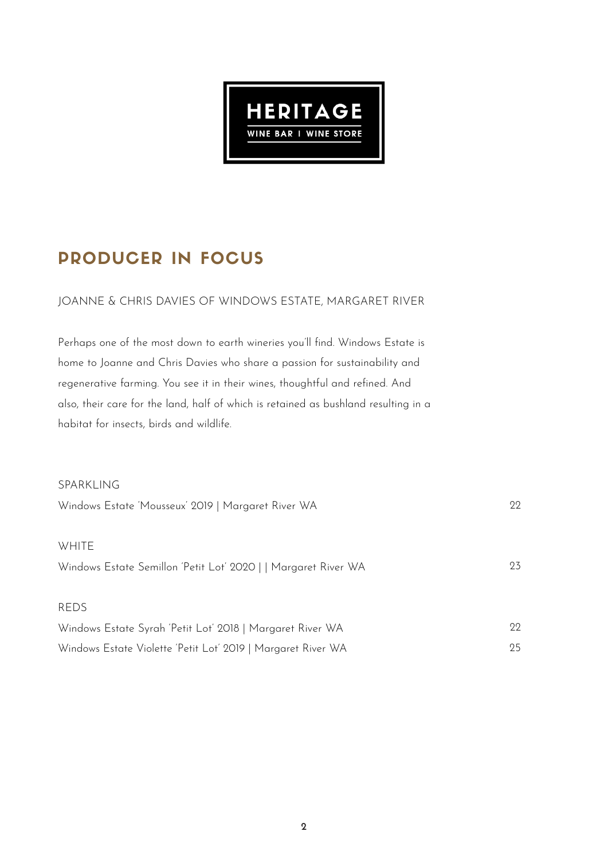

# PRODUCER IN FOCUS

#### JOANNE & CHRIS DAVIES OF WINDOWS ESTATE, MARGARET RIVER

Perhaps one of the most down to earth wineries you'll find. Windows Estate is home to Joanne and Chris Davies who share a passion for sustainability and regenerative farming. You see it in their wines, thoughtful and refined. And also, their care for the land, half of which is retained as bushland resulting in a habitat for insects, birds and wildlife.

#### SPARKLING

| Windows Estate 'Mousseux' 2019   Margaret River WA             | 99  |
|----------------------------------------------------------------|-----|
| WHITE                                                          |     |
| Windows Estate Semillon 'Petit Lot' 2020     Margaret River WA | 23  |
| <b>REDS</b>                                                    |     |
| Windows Estate Syrah 'Petit Lot' 2018   Margaret River WA      | 99. |
| Windows Estate Violette 'Petit Lot' 2019   Margaret River WA   | 25  |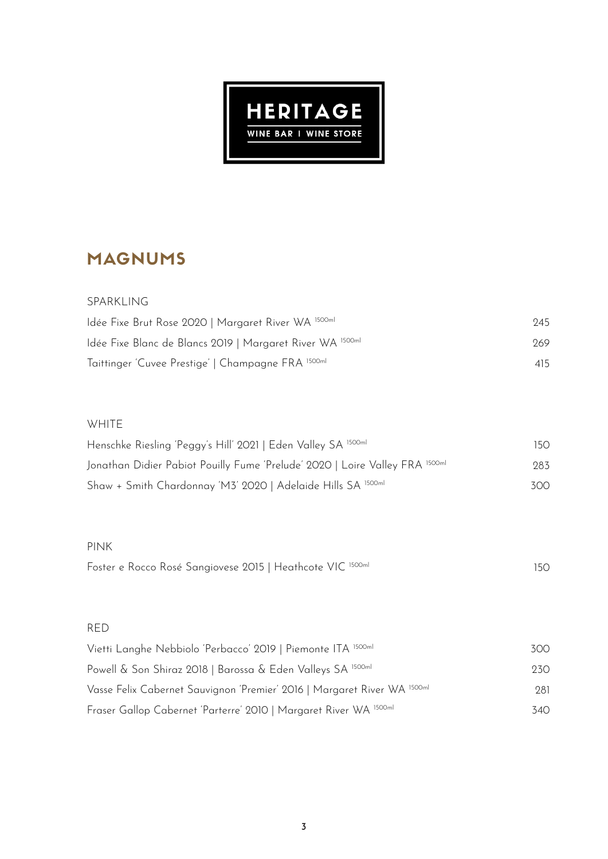

# MAGNUMS

| SPARKLING                                                 |     |
|-----------------------------------------------------------|-----|
| Idée Fixe Brut Rose 2020   Margaret River WA 1500ml       | 945 |
| Idée Fixe Blanc de Blancs 2019   Margaret River WA 1500ml | 269 |
| Taittinger 'Cuvee Prestige'   Champagne FRA 1500ml        | 415 |

#### WHITE

| Henschke Riesling 'Peggy's Hill' 2021   Eden Valley SA 1500ml                | 150 |
|------------------------------------------------------------------------------|-----|
| Jonathan Didier Pabiot Pouilly Fume 'Prelude' 2020   Loire Valley FRA 1500ml | 283 |
| Shaw + Smith Chardonnay 'M3' 2020   Adelaide Hills SA 1500ml                 | 300 |

#### PINK

| Foster e Rocco Rosé Sangiovese 2015   Heathcote VIC 1500ml |  |  |
|------------------------------------------------------------|--|--|
|------------------------------------------------------------|--|--|

#### RED

| Vietti Langhe Nebbiolo 'Perbacco' 2019   Piemonte ITA 1500ml             | 300  |
|--------------------------------------------------------------------------|------|
| Powell & Son Shiraz 2018   Barossa & Eden Valleys SA 1500ml              | 23O. |
| Vasse Felix Cabernet Sauvignon 'Premier' 2016   Margaret River WA 1500ml | 281  |
| Fraser Gallop Cabernet 'Parterre' 2010   Margaret River WA 1500ml        | 34O  |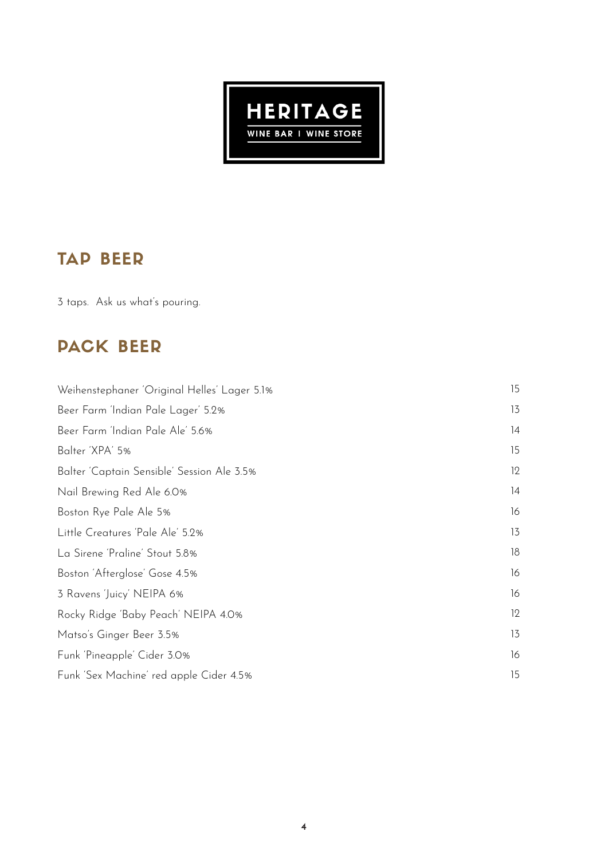

# TAP BEER

3 taps. Ask us what's pouring.

## PACK BEER

| Weihenstephaner 'Original Helles' Lager 5.1% | 15 |
|----------------------------------------------|----|
| Beer Farm 'Indian Pale Lager' 5.2%           | 13 |
| Beer Farm 'Indian Pale Ale' 5.6%             | 4  |
| Balter 'XPA' 5%                              | 15 |
| Balter 'Captain Sensible' Session Ale 3.5%   | 12 |
| Nail Brewing Red Ale 6.0%                    | 4  |
| Boston Rye Pale Ale 5%                       | 16 |
| Little Creatures 'Pale Ale' 5.2%             | 13 |
| La Sirene 'Praline' Stout 5.8%               | 18 |
| Boston 'Afterglose' Gose 4.5%                | 16 |
| 3 Ravens 'Juicy' NEIPA 6%                    | 16 |
| Rocky Ridge 'Baby Peach' NEIPA 4.0%          | 12 |
| Matso's Ginger Beer 3.5%                     | 13 |
| Funk 'Pineapple' Cider 3.0%                  | 16 |
| Funk 'Sex Machine' red apple Cider 4.5%      | 15 |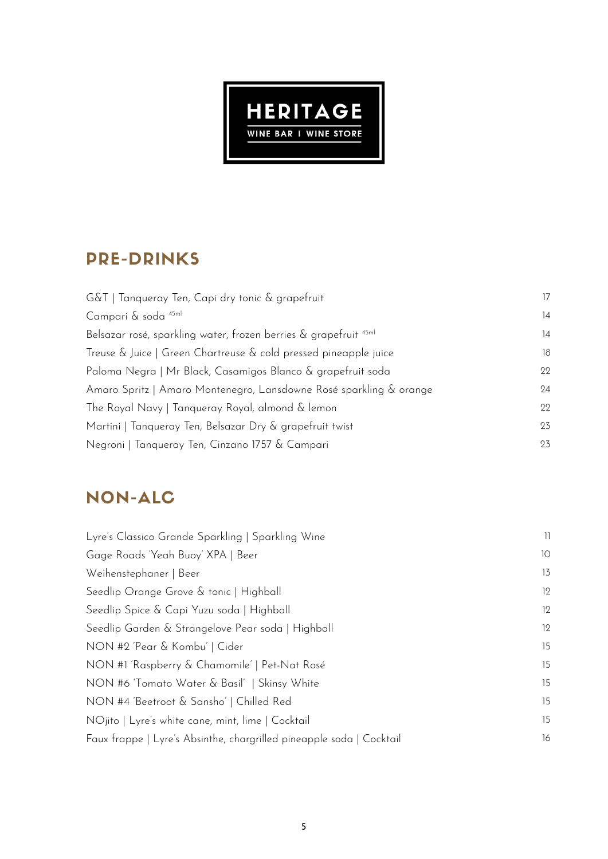

# PRE-DRINKS

| G&T   Tanqueray Ten, Capi dry tonic & grapefruit                            | 17 |
|-----------------------------------------------------------------------------|----|
| Campari & soda 45ml                                                         | 14 |
| Belsazar rosé, sparkling water, frozen berries & grapefruit <sup>45ml</sup> | 14 |
| Treuse & Juice   Green Chartreuse & cold pressed pineapple juice            | 18 |
| Paloma Negra   Mr Black, Casamigos Blanco & grapefruit soda                 | 22 |
| Amaro Spritz   Amaro Montenegro, Lansdowne Rosé sparkling & orange          | 24 |
| The Royal Navy   Tanqueray Royal, almond & lemon                            | 22 |
| Martini   Tanqueray Ten, Belsazar Dry & grapefruit twist                    | 23 |
| Negroni   Tanqueray Ten, Cinzano 1757 & Campari                             | 23 |

# NON-ALC

| Lyre's Classico Grande Sparkling   Sparkling Wine                    | 11 |
|----------------------------------------------------------------------|----|
| Gage Roads 'Yeah Buoy' XPA   Beer                                    | 10 |
| Weihenstephaner   Beer                                               | 13 |
| Seedlip Orange Grove & tonic   Highball                              | 12 |
| Seedlip Spice & Capi Yuzu soda   Highball                            | 12 |
| Seedlip Garden & Strangelove Pear soda   Highball                    | 12 |
| NON #2 'Pear & Kombu'   Cider                                        | 15 |
| NON #1 'Raspberry & Chamomile'   Pet-Nat Rosé                        | 15 |
| NON #6 'Tomato Water & Basil'   Skinsy White                         | 15 |
| NON #4 'Beetroot & Sansho'   Chilled Red                             | 15 |
| NOjito   Lyre's white cane, mint, lime   Cocktail                    | 15 |
| Faux frappe   Lyre's Absinthe, chargrilled pineapple soda   Cocktail | 16 |
|                                                                      |    |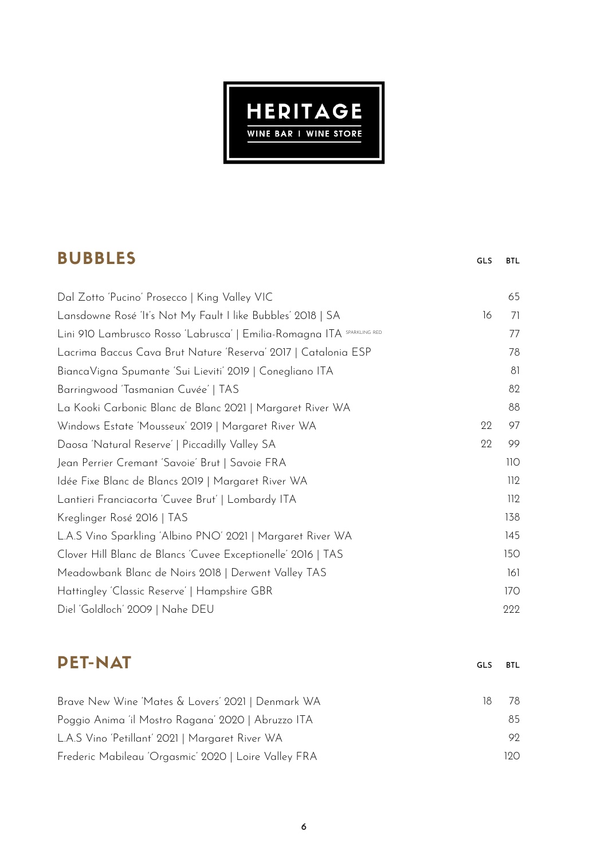

### BUBBLES

GLS BTL

gls

**BTL** 

| Dal Zotto 'Pucino' Prosecco   King Valley VIC                          |    | 65  |
|------------------------------------------------------------------------|----|-----|
| Lansdowne Rosé 'It's Not My Fault I like Bubbles' 2018   SA            | 16 | 71  |
| Lini 910 Lambrusco Rosso 'Labrusca'   Emilia-Romagna ITA SPARKLING RED |    | 77  |
| Lacrima Baccus Cava Brut Nature 'Reserva' 2017   Catalonia ESP         |    | 78  |
| BiancaVigna Spumante 'Sui Lieviti' 2019   Conegliano ITA               |    | 81  |
| Barringwood 'Tasmanian Cuvée'   TAS                                    |    | 82  |
| La Kooki Carbonic Blanc de Blanc 2021   Margaret River WA              |    | 88  |
| Windows Estate 'Mousseux' 2019   Margaret River WA                     | 22 | 97  |
| Daosa 'Natural Reserve'   Piccadilly Valley SA                         | 22 | 99  |
| Jean Perrier Cremant 'Savoie' Brut   Savoie FRA                        |    | 110 |
| Idée Fixe Blanc de Blancs 2019   Margaret River WA                     |    | 112 |
| Lantieri Franciacorta 'Cuvee Brut'   Lombardy ITA                      |    | 112 |
| Kreglinger Rosé 2016   TAS                                             |    | 138 |
| L.A.S Vino Sparkling 'Albino PNO' 2021   Margaret River WA             |    | 145 |
| Clover Hill Blanc de Blancs 'Cuvee Exceptionelle' 2016   TAS           |    | 150 |
| Meadowbank Blanc de Noirs 2018   Derwent Valley TAS                    |    | 161 |
| Hattingley 'Classic Reserve'   Hampshire GBR                           |    | 170 |
| Diel 'Goldloch' 2009   Nahe DEU                                        |    | 222 |

### PET-NAT

Brave New Wine 'Mates & Lovers' 2021 | Denmark WA Poggio Anima 'il Mostro Ragana' 2020 | Abruzzo ITA L.A.S Vino 'Petillant' 2021 | Margaret River WA Frederic Mabileau 'Orgasmic' 2020 | Loire Valley FRA 18 78 85 92 120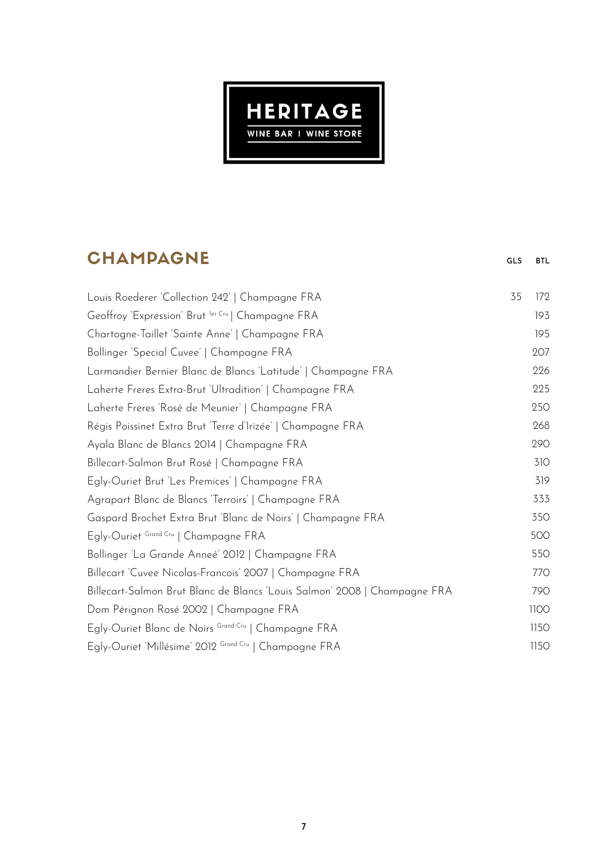

# **CHAMPAGNE**

GLS BTL

| Louis Roederer 'Collection 242'   Champagne FRA                           | 35 | 172  |
|---------------------------------------------------------------------------|----|------|
| Geoffroy 'Expression' Brut ler Cru   Champagne FRA                        |    | 193  |
| Chartogne-Taillet 'Sainte Anne'   Champagne FRA                           |    | 195  |
| Bollinger 'Special Cuvee'   Champagne FRA                                 |    | 207  |
| Larmandier Bernier Blanc de Blancs 'Latitude'   Champagne FRA             |    | 226  |
| Laherte Freres Extra-Brut 'Ultradition'   Champagne FRA                   |    | 225  |
| Laherte Freres 'Rosé de Meunier'   Champagne FRA                          |    | 250  |
| Régis Poissinet Extra Brut 'Terre d'Irizée'   Champagne FRA               |    | 268  |
| Ayala Blanc de Blancs 2014   Champagne FRA                                |    | 290  |
| Billecart-Salmon Brut Rosé   Champagne FRA                                |    | 310  |
| Egly-Ouriet Brut 'Les Premices'   Champagne FRA                           |    | 319  |
| Agrapart Blanc de Blancs 'Terroirs'   Champagne FRA                       |    | 333  |
| Gaspard Brochet Extra Brut 'Blanc de Noirs'   Champagne FRA               |    | 350  |
| Egly-Ouriet Grand Cru   Champagne FRA                                     |    | 500  |
| Bollinger 'La Grande Anneé' 2012   Champagne FRA                          |    | 550  |
| Billecart 'Cuvee Nicolas-Francois' 2007   Champagne FRA                   |    | 770  |
| Billecart-Salmon Brut Blanc de Blancs 'Louis Salmon' 2008   Champagne FRA |    | 790  |
| Dom Pérignon Rosé 2002   Champagne FRA                                    |    | 1100 |
| Egly-Ouriet Blanc de Noirs Grand Cru   Champagne FRA                      |    | 1150 |
| Egly-Ouriet 'Millésime' 2012 Grand Cru   Champagne FRA                    |    | 1150 |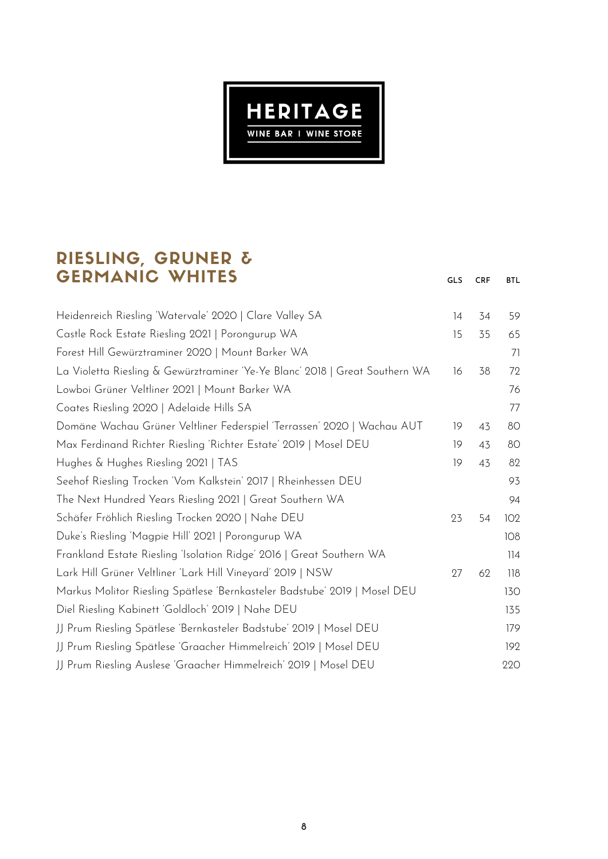

### RIESLING, GRUNER & GERMANIC WHITES

GLS CRF BTL

| Heidenreich Riesling 'Watervale' 2020   Clare Valley SA                      | 14 | 34 | 59  |
|------------------------------------------------------------------------------|----|----|-----|
| Castle Rock Estate Riesling 2021   Porongurup WA                             | 15 | 35 | 65  |
| Forest Hill Gewürztraminer 2020   Mount Barker WA                            |    |    | 71  |
| La Violetta Riesling & Gewürztraminer 'Ye-Ye Blanc' 2018   Great Southern WA | 16 | 38 | 72  |
| Lowboi Grüner Veltliner 2021   Mount Barker WA                               |    |    | 76  |
| Coates Riesling 2020   Adelaide Hills SA                                     |    |    | 77  |
| Domäne Wachau Grüner Veltliner Federspiel 'Terrassen' 2020   Wachau AUT      | 19 | 43 | 80  |
| Max Ferdinand Richter Riesling 'Richter Estate' 2019   Mosel DEU             | 19 | 43 | 80  |
| Hughes & Hughes Riesling 2021   TAS                                          | 19 | 43 | 82  |
| Seehof Riesling Trocken 'Vom Kalkstein' 2017   Rheinhessen DEU               |    |    | 93  |
| The Next Hundred Years Riesling 2021   Great Southern WA                     |    |    | 94  |
| Schäfer Fröhlich Riesling Trocken 2020   Nahe DEU                            | 23 | 54 | 102 |
| Duke's Riesling 'Magpie Hill' 2021   Porongurup WA                           |    |    | 108 |
| Frankland Estate Riesling 'Isolation Ridge' 2016   Great Southern WA         |    |    | 114 |
| Lark Hill Grüner Veltliner 'Lark Hill Vineyard' 2019   NSW                   | 27 | 62 | 118 |
| Markus Molitor Riesling Spätlese 'Bernkasteler Badstube' 2019   Mosel DEU    |    |    | 130 |
| Diel Riesling Kabinett 'Goldloch' 2019   Nahe DEU                            |    |    | 135 |
| JJ Prum Riesling Spätlese 'Bernkasteler Badstube' 2019   Mosel DEU           |    |    | 179 |
| JJ Prum Riesling Spätlese 'Graacher Himmelreich' 2019   Mosel DEU            |    |    | 192 |
| JJ Prum Riesling Auslese 'Graacher Himmelreich' 2019   Mosel DEU             |    |    | 220 |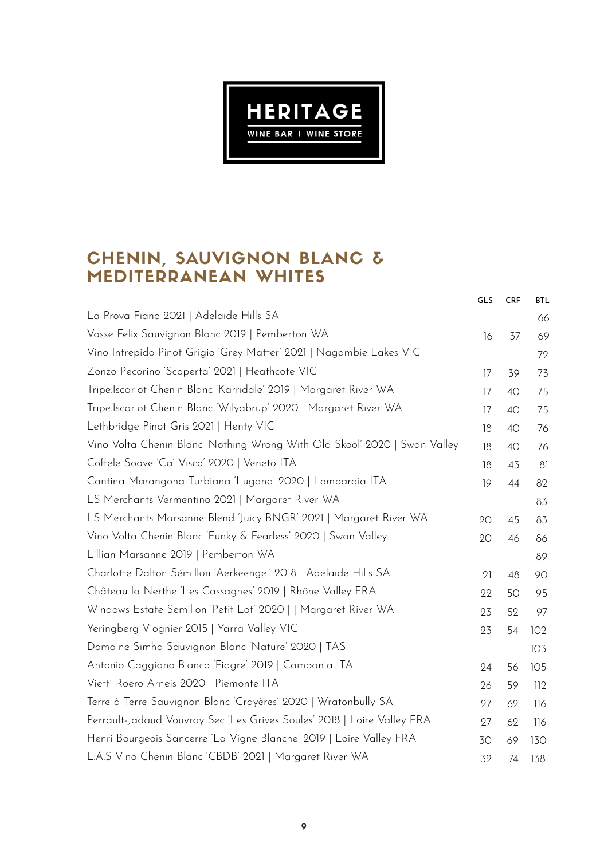

### CHENIN, SAUVIGNON BLANC & MEDITERRANEAN WHITES

| GLS | <b>CRF</b> | <b>BTL</b> |
|-----|------------|------------|
|     |            | 66         |
| 16  | 37         | 69         |
|     |            | 72         |
| 17  | 39         | 73         |
| 17  | 40         | 75         |
| 17  | 40         | 75         |
| 18  | 40         | 76         |
| 18  | 40         | 76         |
| 18  | 43         | 81         |
| 19  | 44         | 82         |
|     |            | 83         |
| 20  | 45         | 83         |
| 20  | 46         | 86         |
|     |            | 89         |
| 21  | 48         | 90         |
| 22  | 50         | 95         |
| 23  | 52         | 97         |
| 23  | 54         | 102        |
|     |            | 103        |
| 24  | 56         | 105        |
| 26  | 59         | 112        |
| 27  | 62         | 116        |
| 27  | 62         | 116        |
| 30  | 69         | 130        |
| 32  | 74         | 138        |
|     |            |            |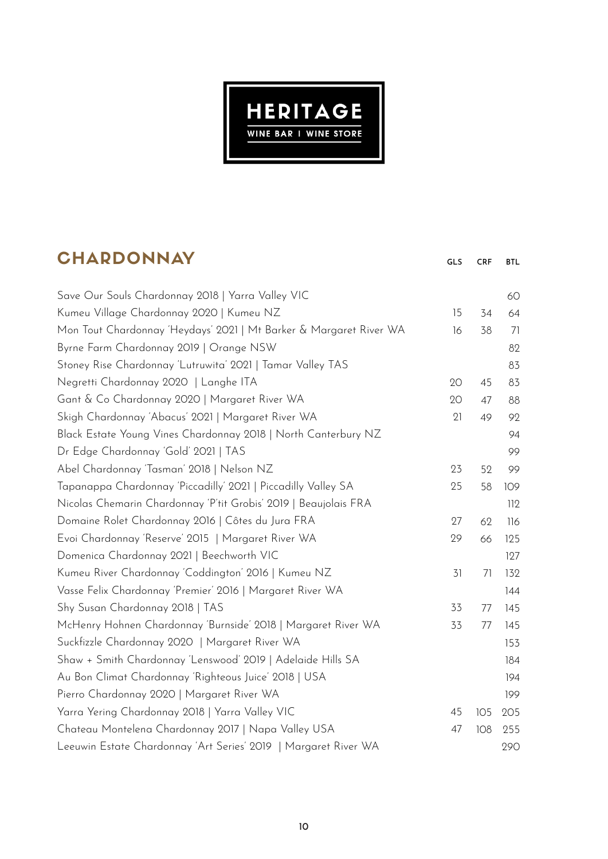

## **CHARDONNAY**

| <b>UNARDUNNAI</b>                                                  | GLS | <b>CRF</b> | BTL. |
|--------------------------------------------------------------------|-----|------------|------|
| Save Our Souls Chardonnay 2018   Yarra Valley VIC                  |     |            | 60   |
| Kumeu Village Chardonnay 2020   Kumeu NZ                           | 15  | 34         | 64   |
| Mon Tout Chardonnay 'Heydays' 2021   Mt Barker & Margaret River WA | 16  | 38         | 71   |
| Byrne Farm Chardonnay 2019   Orange NSW                            |     |            | 82   |
| Stoney Rise Chardonnay 'Lutruwita' 2021   Tamar Valley TAS         |     |            | 83   |
| Negretti Chardonnay 2020   Langhe ITA                              | 20  | 45         | 83   |
| Gant & Co Chardonnay 2020   Margaret River WA                      | 20  | 47         | 88   |
| Skigh Chardonnay 'Abacus' 2021   Margaret River WA                 | 21  | 49         | 92   |
| Black Estate Young Vines Chardonnay 2018   North Canterbury NZ     |     |            | 94   |
| Dr Edge Chardonnay 'Gold' 2021   TAS                               |     |            | 99   |
| Abel Chardonnay 'Tasman' 2018   Nelson NZ                          | 23  | 52         | 99   |
| Tapanappa Chardonnay 'Piccadilly' 2021   Piccadilly Valley SA      | 25  | 58         | 109  |
| Nicolas Chemarin Chardonnay 'P'tit Grobis' 2019   Beaujolais FRA   |     |            | 112  |
| Domaine Rolet Chardonnay 2016   Côtes du Jura FRA                  | 27  | 62         | 116  |
| Evoi Chardonnay 'Reserve' 2015   Margaret River WA                 | 29  | 66         | 125  |
| Domenica Chardonnay 2021   Beechworth VIC                          |     |            | 127  |
| Kumeu River Chardonnay 'Coddington' 2016   Kumeu NZ                | 31  | 71         | 132  |
| Vasse Felix Chardonnay 'Premier' 2016   Margaret River WA          |     |            | 144  |
| Shy Susan Chardonnay 2018   TAS                                    | 33  | 77         | 145  |
| McHenry Hohnen Chardonnay 'Burnside' 2018   Margaret River WA      | 33  | 77         | 145  |
| Suckfizzle Chardonnay 2020   Margaret River WA                     |     |            | 153  |
| Shaw + Smith Chardonnay 'Lenswood' 2019   Adelaide Hills SA        |     |            | 184  |
| Au Bon Climat Chardonnay 'Righteous Juice' 2018   USA              |     |            | 194  |
| Pierro Chardonnay 2020   Margaret River WA                         |     |            | 199  |
| Yarra Yering Chardonnay 2018   Yarra Valley VIC                    | 45  | 105        | 205  |
| Chateau Montelena Chardonnay 2017   Napa Valley USA                | 47  | 108        | 255  |
| Leeuwin Estate Chardonnay 'Art Series' 2019   Margaret River WA    |     |            | 290  |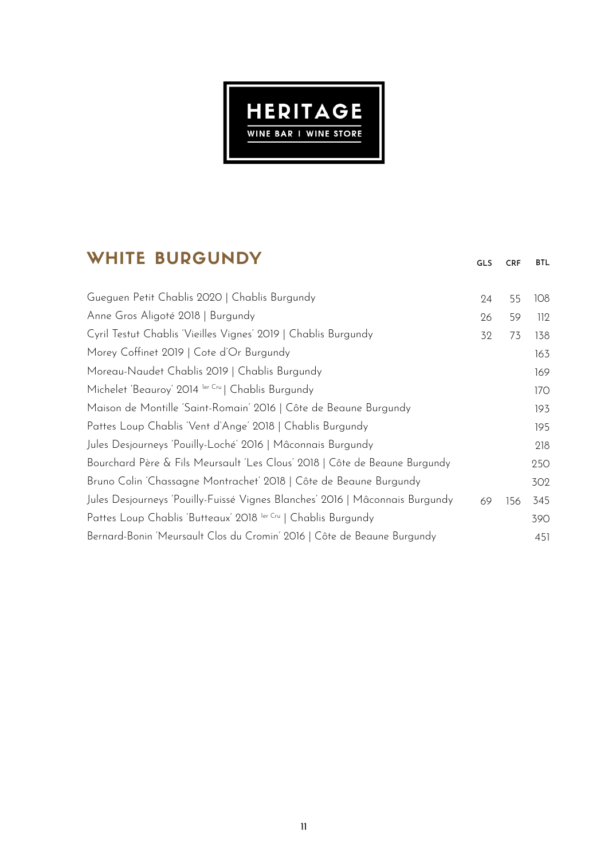

## WHITE BURGUNDY

| Gueguen Petit Chablis 2020   Chablis Burgundy                                | 24 | 55  | 108 |
|------------------------------------------------------------------------------|----|-----|-----|
| Anne Gros Aligoté 2018   Burgundy                                            | 26 | 59  | 112 |
| Cyril Testut Chablis 'Vieilles Vignes' 2019   Chablis Burgundy               | 32 | 73  | 138 |
| Morey Coffinet 2019   Cote d'Or Burgundy                                     |    |     | 163 |
| Moreau-Naudet Chablis 2019   Chablis Burgundy                                |    |     | 169 |
| Michelet 'Beauroy' 2014 ler Cru   Chablis Burgundy                           |    |     | 170 |
| Maison de Montille 'Saint-Romain' 2016   Côte de Beaune Burgundy             |    |     | 193 |
| Pattes Loup Chablis 'Vent d'Ange' 2018   Chablis Burgundy                    |    |     | 195 |
| Jules Desjourneys 'Pouilly-Loché' 2016   Mâconnais Burgundy                  |    |     | 218 |
| Bourchard Père & Fils Meursault 'Les Clous' 2018   Côte de Beaune Burgundy   |    |     | 250 |
| Bruno Colin 'Chassagne Montrachet' 2018   Côte de Beaune Burgundy            |    |     | 302 |
| Jules Desjourneys 'Pouilly-Fuissé Vignes Blanches' 2016   Mâconnais Burgundy | 69 | 156 | 345 |
| Pattes Loup Chablis 'Butteaux' 2018 ler Cru   Chablis Burgundy               |    |     | 390 |
| Bernard-Bonin 'Meursault Clos du Cromin' 2016   Côte de Beaune Burgundy      |    |     | 451 |

GLS CRF BTL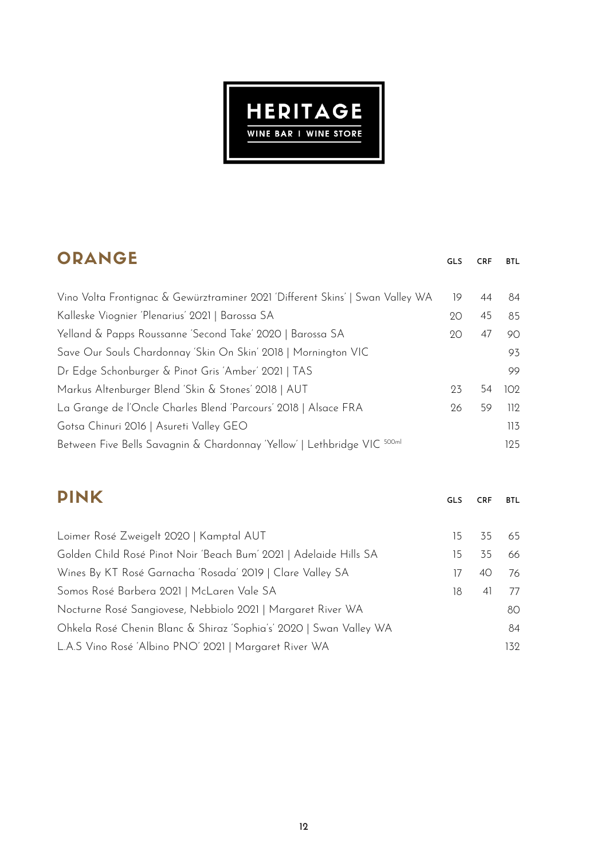

| ORANGE                                                                         | <b>GLS</b> | <b>CRF</b> | <b>BTL</b>       |
|--------------------------------------------------------------------------------|------------|------------|------------------|
| Vino Volta Frontignac & Gewürztraminer 2021 'Different Skins'   Swan Valley WA | 19         | 44         | 84               |
| Kalleske Viognier 'Plenarius' 2021   Barossa SA                                | 20         | 45         | 85               |
| Yelland & Papps Roussanne 'Second Take' 2020   Barossa SA                      | 20         | 47         | 90               |
| Save Our Souls Chardonnay 'Skin On Skin' 2018   Mornington VIC                 |            |            | 93               |
| Dr Edge Schonburger & Pinot Gris 'Amber' 2021   TAS                            |            |            | 99               |
| Markus Altenburger Blend 'Skin & Stones' 2018   AUT                            |            | 54         | 102 <sub>2</sub> |
| La Grange de l'Oncle Charles Blend 'Parcours' 2018   Alsace FRA                | 26         | 59         | 112              |
| Gotsa Chinuri 2016   Asureti Valley GEO                                        |            |            | 113              |
| Between Five Bells Savagnin & Chardonnay 'Yellow'   Lethbridge VIC 500ml       |            |            | 125              |
|                                                                                |            |            |                  |

| <b>PINK</b>                                                        | <b>GLS</b> | <b>CRF</b> | <b>BTL</b> |
|--------------------------------------------------------------------|------------|------------|------------|
|                                                                    |            |            |            |
| Loimer Rosé Zweigelt 2020   Kamptal AUT                            | 15         | 35         | 65         |
| Golden Child Rosé Pinot Noir 'Beach Bum' 2021   Adelaide Hills SA  | 15.        | 35         | 66         |
| Wines By KT Rosé Garnacha 'Rosada' 2019   Clare Valley SA          | 17         | 40         | 76         |
| Somos Rosé Barbera 2021   McLaren Vale SA                          | 18         | 41         | 77         |
| Nocturne Rosé Sangiovese, Nebbiolo 2021   Margaret River WA        |            |            | 80         |
| Ohkela Rosé Chenin Blanc & Shiraz 'Sophia's' 2020   Swan Valley WA |            |            | 84         |
| L.A.S Vino Rosé 'Albino PNO' 2021   Margaret River WA              |            |            | 132        |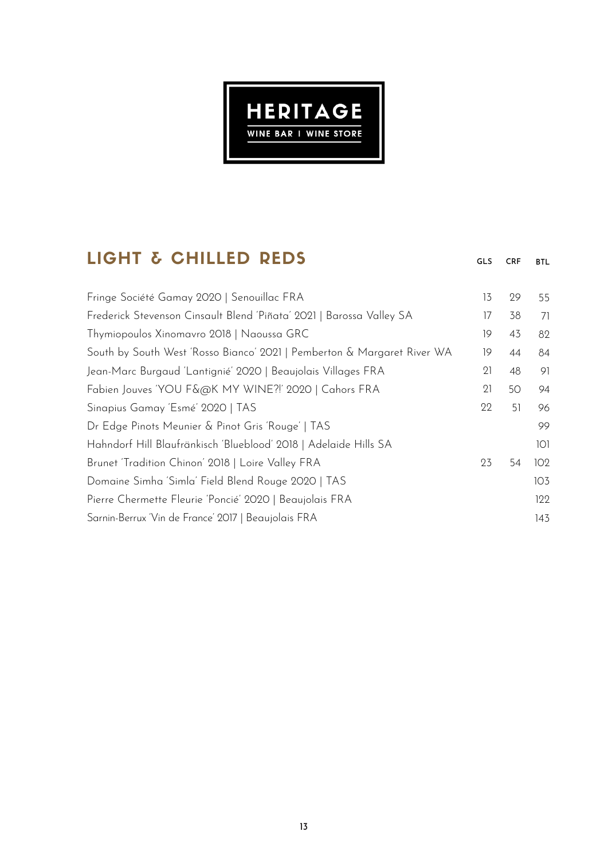

# LIGHT & CHILLED REDS

| 13 | 29 | 55  |
|----|----|-----|
| 17 | 38 | 71  |
| 19 | 43 | 82  |
| 19 | 44 | 84  |
| 21 | 48 | 91  |
| 21 | 50 | 94  |
| 22 | 51 | 96  |
|    |    | 99  |
|    |    | 101 |
| 23 | 54 | 102 |
|    |    | 103 |
|    |    | 122 |
|    |    | 143 |
|    |    |     |

GLS CRF BTL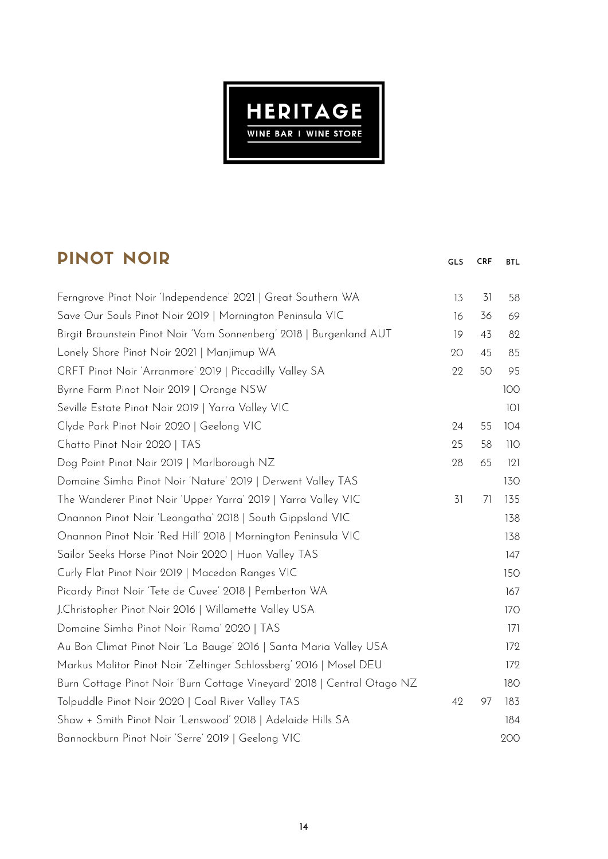

GLS CRF BTL

# PINOT NOIR

| 58  |
|-----|
| 69  |
| 82  |
| 85  |
| 95  |
| 100 |
| 101 |
| 104 |
| 110 |
| 121 |
| 130 |
| 135 |
| 138 |
| 138 |
| 147 |
| 150 |
| 167 |
| 170 |
| 171 |
| 172 |
| 172 |
| 180 |
| 183 |
| 184 |
| 200 |
|     |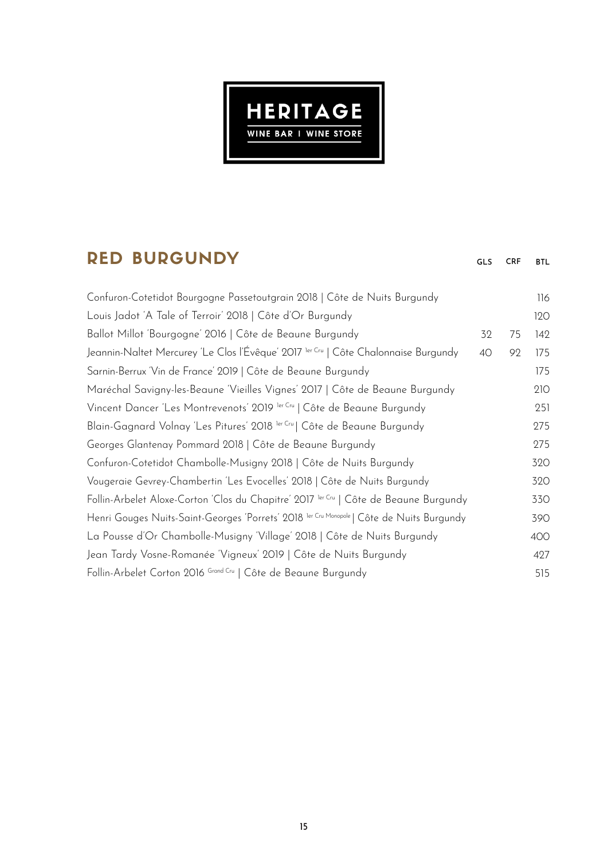

## **DED BUDGUNDY**

| KED DURUUNDI                                                                                   | <b>GLS</b> | <b>CRF</b> | BTL |
|------------------------------------------------------------------------------------------------|------------|------------|-----|
| Confuron-Cotetidot Bourgogne Passetoutgrain 2018   Côte de Nuits Burgundy                      |            |            | 116 |
| Louis Jadot 'A Tale of Terroir' 2018   Côte d'Or Burgundy                                      |            |            | 120 |
| Ballot Millot 'Bourgogne' 2016   Côte de Beaune Burgundy                                       | 32         | 75         | 142 |
| Jeannin-Naltet Mercurey 'Le Clos l'Évêque' 2017 <sup>1er Cru</sup>   Côte Chalonnaise Burgundy | 40         | 92         | 175 |
| Sarnin-Berrux 'Vin de France' 2019   Côte de Beaune Burgundy                                   |            |            | 175 |
| Maréchal Savigny-les-Beaune 'Vieilles Vignes' 2017   Côte de Beaune Burgundy                   |            |            | 210 |
| Vincent Dancer 'Les Montrevenots' 2019 ler Cru   Côte de Beaune Burgundy                       |            |            | 251 |
| Blain-Gagnard Volnay 'Les Pitures' 2018 ler Cru   Côte de Beaune Burgundy                      |            |            | 275 |
| Georges Glantenay Pommard 2018   Côte de Beaune Burgundy                                       |            |            | 275 |
| Confuron-Cotetidot Chambolle-Musigny 2018   Côte de Nuits Burgundy                             |            |            | 320 |
| Vougeraie Gevrey-Chambertin 'Les Evocelles' 2018   Côte de Nuits Burgundy                      |            |            | 320 |
| Follin-Arbelet Aloxe-Corton 'Clos du Chapitre' 2017 ler Cru   Côte de Beaune Burgundy          |            |            | 330 |
| Henri Gouges Nuits-Saint-Georges 'Porrets' 2018 ler Cru Monopole   Côte de Nuits Burgundy      |            |            | 390 |
| La Pousse d'Or Chambolle-Musigny 'Village' 2018   Côte de Nuits Burgundy                       |            |            | 400 |
| Jean Tardy Vosne-Romanée 'Vigneux' 2019   Côte de Nuits Burgundy                               |            |            | 427 |
| Follin-Arbelet Corton 2016 Grand Cru   Côte de Beaune Burgundy                                 |            |            | 515 |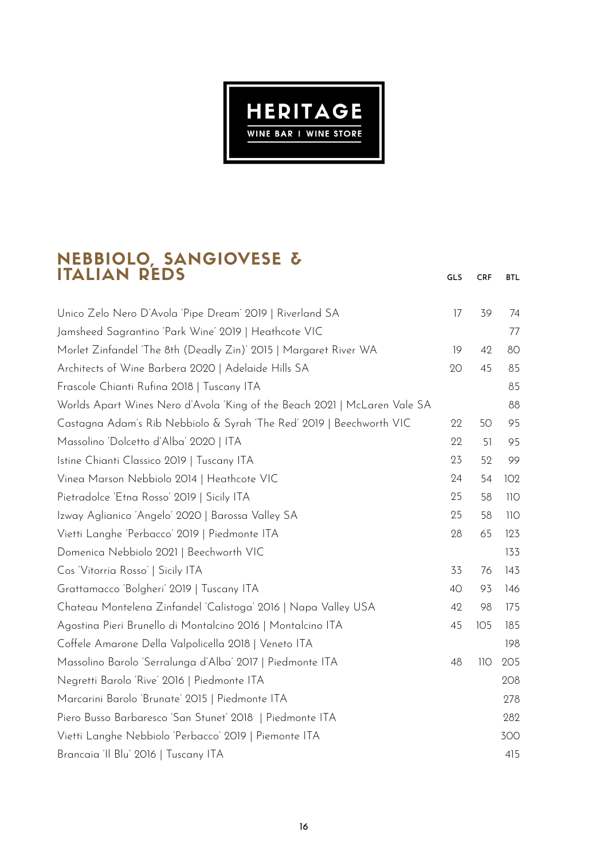

#### NEBBIOLO, SANGIOVESE & ITALIAN REDS

Unico Zelo Nero D'Avola 'Pipe Dream' 2019 | Riverland SA Jamsheed Sagrantino 'Park Wine' 2019 | Heathcote VIC Morlet Zinfandel 'The 8th (Deadly Zin)' 2015 | Margaret River WA Architects of Wine Barbera 2020 | Adelaide Hills SA Frascole Chianti Rufina 2018 | Tuscany ITA Worlds Apart Wines Nero d'Avola 'King of the Beach 2021 | McLaren Vale SA Castagna Adam's Rib Nebbiolo & Syrah 'The Red' 2019 | Beechworth VIC Massolino 'Dolcetto d'Alba' 2020 | ITA Istine Chianti Classico 2019 | Tuscany ITA Vinea Marson Nebbiolo 2014 | Heathcote VIC Pietradolce 'Etna Rosso' 2019 | Sicily ITA Izway Aglianico 'Angelo' 2020 | Barossa Valley SA Vietti Langhe 'Perbacco' 2019 | Piedmonte ITA Domenica Nebbiolo 2021 | Beechworth VIC Cos 'Vitorria Rosso' | Sicily ITA Grattamacco 'Bolgheri' 2019 | Tuscany ITA Chateau Montelena Zinfandel 'Calistoga' 2016 | Napa Valley USA Agostina Pieri Brunello di Montalcino 2016 | Montalcino ITA Coffele Amarone Della Valpolicella 2018 | Veneto ITA Massolino Barolo 'Serralunga d'Alba' 2017 | Piedmonte ITA Negretti Barolo 'Rive' 2016 | Piedmonte ITA Marcarini Barolo 'Brunate' 2015 | Piedmonte ITA Piero Busso Barbaresco 'San Stunet' 2018 | Piedmonte ITA Vietti Langhe Nebbiolo 'Perbacco' 2019 | Piemonte ITA Brancaia 'Il Blu' 2016 | Tuscany ITA gls **CRF BTL**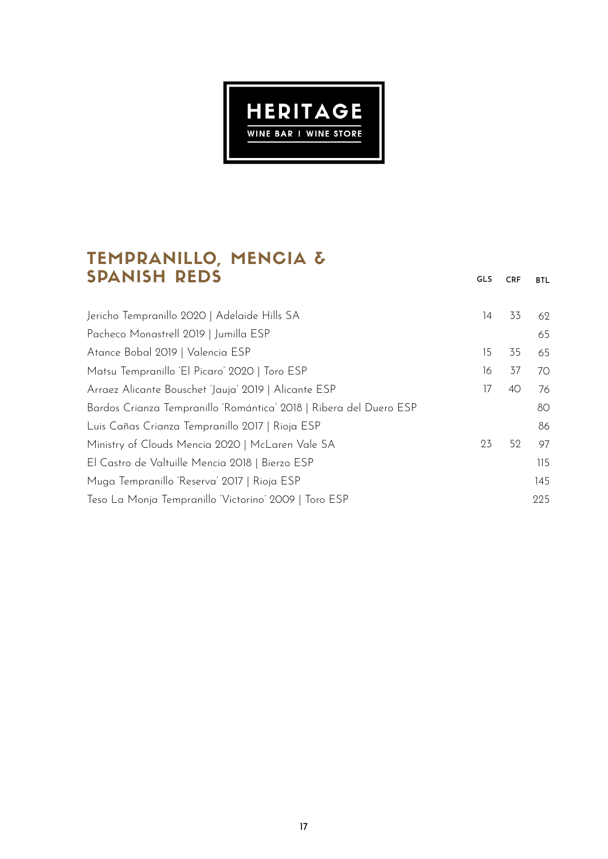

### TEMPRANILLO, MENCIA & SPANISH REDS

Jericho Tempranillo 2020 | Adelaide Hills SA

Matsu Tempranillo 'El Picaro' 2020 | Toro ESP

Arraez Alicante Bouschet 'Jauja' 2019 | Alicante ESP

Luis Cañas Crianza Tempranillo 2017 | Rioja ESP Ministry of Clouds Mencia 2020 | McLaren Vale SA

El Castro de Valtuille Mencia 2018 | Bierzo ESP Muga Tempranillo 'Reserva' 2017 | Rioja ESP

Teso La Monja Tempranillo 'Victorino' 2009 | Toro ESP

Bardos Crianza Tempranillo 'Romántica' 2018 | Ribera del Duero ESP

Pacheco Monastrell 2019 | Jumilla ESP

Atance Bobal 2019 | Valencia ESP

> 115 145 225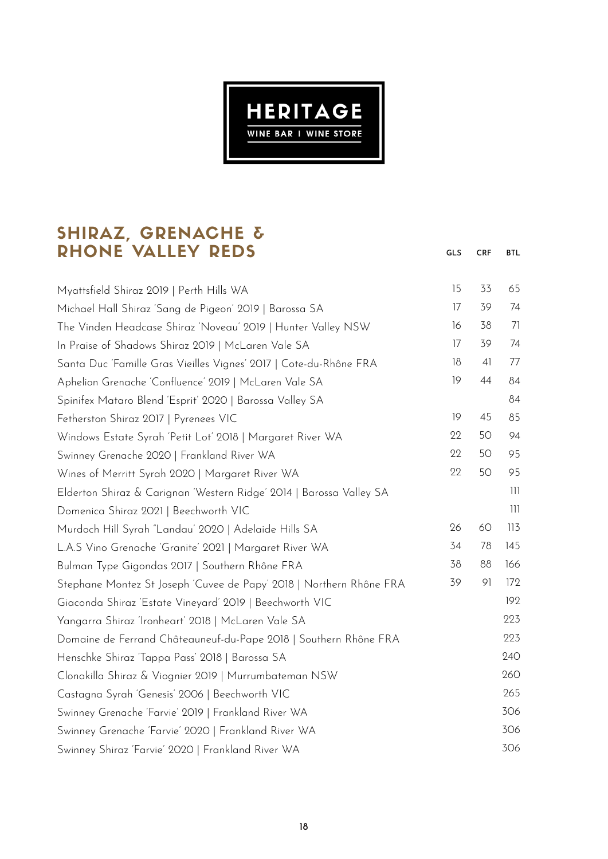

GLS CRF BTL

### SHIRAZ, GRENACHE & RHONE VALLEY REDS

| Myattsfield Shiraz 2019   Perth Hills WA                            | 15 | 33             | 65                                    |
|---------------------------------------------------------------------|----|----------------|---------------------------------------|
| Michael Hall Shiraz 'Sang de Pigeon' 2019   Barossa SA              | 17 | 39             | 74                                    |
| The Vinden Headcase Shiraz 'Noveau' 2019   Hunter Valley NSW        | 16 | 38             | 71                                    |
| In Praise of Shadows Shiraz 2019   McLaren Vale SA                  | 17 | 39             | 74                                    |
| Santa Duc 'Famille Gras Vieilles Vignes' 2017   Cote-du-Rhône FRA   | 18 | 4 <sup>1</sup> | 77                                    |
| Aphelion Grenache 'Confluence' 2019   McLaren Vale SA               | 19 | 44             | 84                                    |
| Spinifex Mataro Blend 'Esprit' 2020   Barossa Valley SA             |    |                | 84                                    |
| Fetherston Shiraz 2017   Pyrenees VIC                               | 19 | 45             | 85                                    |
| Windows Estate Syrah 'Petit Lot' 2018   Margaret River WA           | 22 | 50             | 94                                    |
| Swinney Grenache 2020   Frankland River WA                          | 22 | 50             | 95                                    |
| Wines of Merritt Syrah 2020   Margaret River WA                     | 22 | 50             | 95                                    |
| Elderton Shiraz & Carignan 'Western Ridge' 2014   Barossa Valley SA |    |                | 111                                   |
| Domenica Shiraz 2021   Beechworth VIC                               |    |                | $\begin{array}{c} \hline \end{array}$ |
| Murdoch Hill Syrah "Landau' 2020   Adelaide Hills SA                | 26 | 60             | 113                                   |
| L.A.S Vino Grenache 'Granite' 2021   Margaret River WA              | 34 | 78             | 145                                   |
| Bulman Type Gigondas 2017   Southern Rhône FRA                      | 38 | 88             | 166                                   |
| Stephane Montez St Joseph 'Cuvee de Papy' 2018   Northern Rhône FRA | 39 | 91             | 172                                   |
| Giaconda Shiraz 'Estate Vineyard' 2019   Beechworth VIC             |    |                | 192                                   |
| Yangarra Shiraz 'Ironheart' 2018   McLaren Vale SA                  |    |                | 223                                   |
| Domaine de Ferrand Châteauneuf-du-Pape 2018   Southern Rhône FRA    |    |                | 223                                   |
| Henschke Shiraz Tappa Pass' 2018   Barossa SA                       |    |                | 240                                   |
| Clonakilla Shiraz & Viognier 2019   Murrumbateman NSW               |    |                | 260                                   |
| Castagna Syrah 'Genesis' 2006   Beechworth VIC                      |    |                | 265                                   |
| Swinney Grenache 'Farvie' 2019   Frankland River WA                 |    |                | 306                                   |
| Swinney Grenache 'Farvie' 2020   Frankland River WA                 |    |                | 306                                   |
| Swinney Shiraz 'Farvie' 2020   Frankland River WA                   |    |                | 306                                   |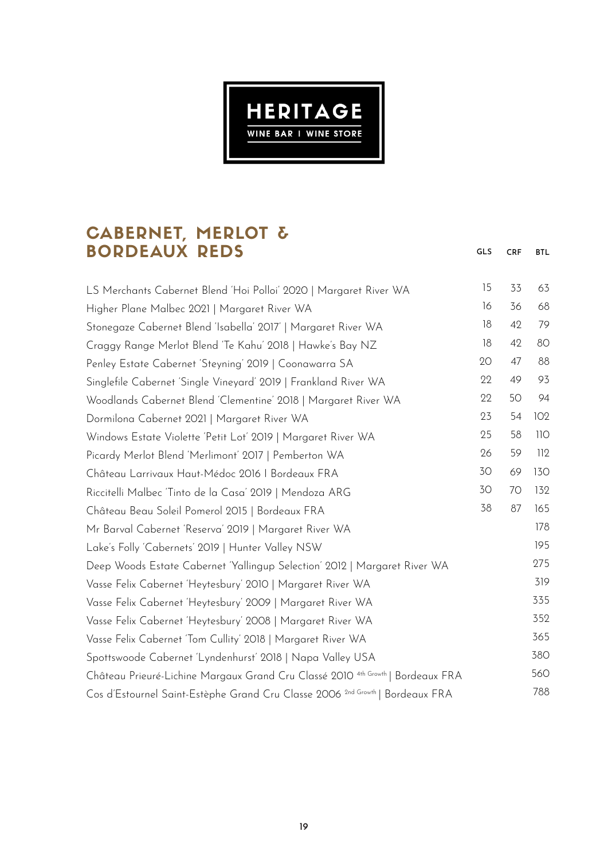

GLS CRF BTL

### CABERNET, MERLOT & BORDEAUX REDS

| LS Merchants Cabernet Blend 'Hoi Polloi' 2020   Margaret River WA                          | 15 | 33 | 63  |
|--------------------------------------------------------------------------------------------|----|----|-----|
| Higher Plane Malbec 2021   Margaret River WA                                               | 16 | 36 | 68  |
| Stonegaze Cabernet Blend 'Isabella' 2017'   Margaret River WA                              | 18 | 42 | 79  |
| Craggy Range Merlot Blend 'Te Kahu' 2018   Hawke's Bay NZ                                  | 18 | 42 | 80  |
| Penley Estate Cabernet 'Steyning' 2019   Coonawarra SA                                     | 20 | 47 | 88  |
| Singlefile Cabernet 'Single Vineyard' 2019   Frankland River WA                            | 22 | 49 | 93  |
| Woodlands Cabernet Blend 'Clementine' 2018   Margaret River WA                             | 22 | 50 | 94  |
| Dormilona Cabernet 2021   Margaret River WA                                                | 23 | 54 | 102 |
| Windows Estate Violette 'Petit Lot' 2019   Margaret River WA                               | 25 | 58 | 110 |
| Picardy Merlot Blend 'Merlimont' 2017   Pemberton WA                                       | 26 | 59 | 112 |
| Château Larrivaux Haut-Médoc 2016   Bordeaux FRA                                           | 30 | 69 | 130 |
| Riccitelli Malbec Tinto de la Casa' 2019   Mendoza ARG                                     | 30 | 70 | 132 |
| Château Beau Soleil Pomerol 2015   Bordeaux FRA                                            | 38 | 87 | 165 |
| Mr Barval Cabernet 'Reserva' 2019   Margaret River WA                                      |    |    | 178 |
| Lake's Folly 'Cabernets' 2019   Hunter Valley NSW                                          |    |    | 195 |
| Deep Woods Estate Cabernet 'Yallingup Selection' 2012   Margaret River WA                  |    |    | 275 |
| Vasse Felix Cabernet 'Heytesbury' 2010   Margaret River WA                                 |    |    | 319 |
| Vasse Felix Cabernet 'Heytesbury' 2009   Margaret River WA                                 |    |    | 335 |
| Vasse Felix Cabernet 'Heytesbury' 2008   Margaret River WA                                 |    |    | 352 |
| Vasse Felix Cabernet 'Tom Cullity' 2018   Margaret River WA                                |    |    | 365 |
| Spottswoode Cabernet 'Lyndenhurst' 2018   Napa Valley USA                                  |    |    | 380 |
| Château Prieuré-Lichine Margaux Grand Cru Classé 2010 <sup>4th Growth</sup>   Bordeaux FRA |    |    | 560 |
| Cos d'Estournel Saint-Estèphe Grand Cru Classe 2006 <sup>2nd Growth</sup>   Bordeaux FRA   |    |    | 788 |